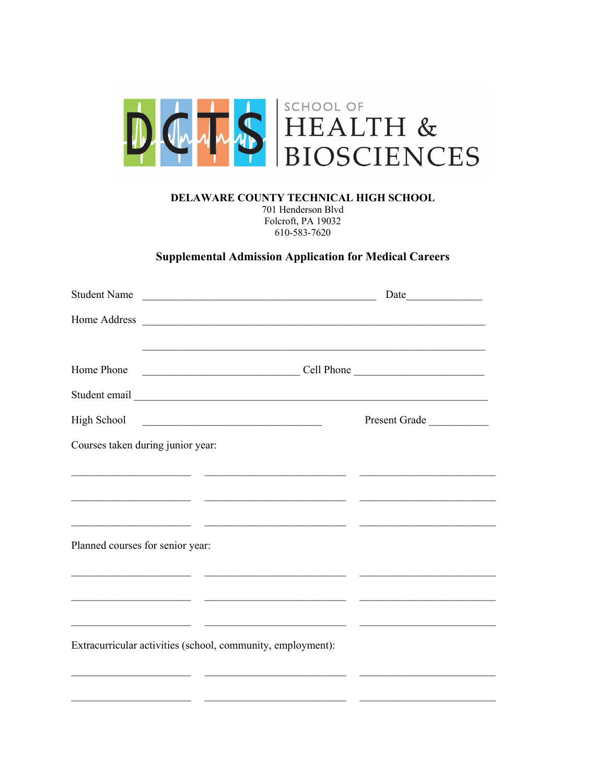

DELAWARE COUNTY TECHNICAL HIGH SCHOOL

701 Henderson Blvd Folcroft, PA 19032 610-583-7620

## **Supplemental Admission Application for Medical Careers**

|                                  | Student Name                                                                                                           |               |
|----------------------------------|------------------------------------------------------------------------------------------------------------------------|---------------|
|                                  |                                                                                                                        |               |
| Home Phone                       |                                                                                                                        |               |
|                                  |                                                                                                                        |               |
| High School                      |                                                                                                                        | Present Grade |
|                                  | Courses taken during junior year:                                                                                      |               |
|                                  |                                                                                                                        |               |
|                                  |                                                                                                                        |               |
|                                  |                                                                                                                        |               |
| Planned courses for senior year: |                                                                                                                        |               |
|                                  |                                                                                                                        |               |
|                                  |                                                                                                                        |               |
|                                  | <u> 1989 - Johann Barn, mars ann an t-Amhain ann an t-Amhain ann an t-Amhain ann an t-Amhain ann an t-Amhain ann a</u> |               |
|                                  | Extracurricular activities (school, community, employment):                                                            |               |
|                                  |                                                                                                                        |               |
|                                  |                                                                                                                        |               |